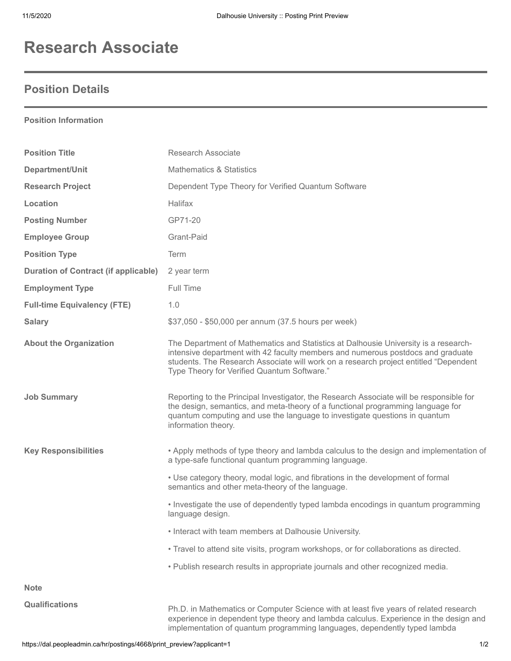## **Research Associate**

## **Position Details**

## **Position Information**

| <b>Position Title</b>                       | Research Associate                                                                                                                                                                                                                                                                                            |
|---------------------------------------------|---------------------------------------------------------------------------------------------------------------------------------------------------------------------------------------------------------------------------------------------------------------------------------------------------------------|
| Department/Unit                             | <b>Mathematics &amp; Statistics</b>                                                                                                                                                                                                                                                                           |
| <b>Research Project</b>                     | Dependent Type Theory for Verified Quantum Software                                                                                                                                                                                                                                                           |
| Location                                    | Halifax                                                                                                                                                                                                                                                                                                       |
| <b>Posting Number</b>                       | GP71-20                                                                                                                                                                                                                                                                                                       |
| <b>Employee Group</b>                       | Grant-Paid                                                                                                                                                                                                                                                                                                    |
| <b>Position Type</b>                        | Term                                                                                                                                                                                                                                                                                                          |
| <b>Duration of Contract (if applicable)</b> | 2 year term                                                                                                                                                                                                                                                                                                   |
| <b>Employment Type</b>                      | Full Time                                                                                                                                                                                                                                                                                                     |
| <b>Full-time Equivalency (FTE)</b>          | 1.0                                                                                                                                                                                                                                                                                                           |
| <b>Salary</b>                               | \$37,050 - \$50,000 per annum (37.5 hours per week)                                                                                                                                                                                                                                                           |
| <b>About the Organization</b>               | The Department of Mathematics and Statistics at Dalhousie University is a research-<br>intensive department with 42 faculty members and numerous postdocs and graduate<br>students. The Research Associate will work on a research project entitled "Dependent<br>Type Theory for Verified Quantum Software." |
| <b>Job Summary</b>                          | Reporting to the Principal Investigator, the Research Associate will be responsible for<br>the design, semantics, and meta-theory of a functional programming language for<br>quantum computing and use the language to investigate questions in quantum<br>information theory.                               |
| <b>Key Responsibilities</b>                 | • Apply methods of type theory and lambda calculus to the design and implementation of<br>a type-safe functional quantum programming language.                                                                                                                                                                |
|                                             | . Use category theory, modal logic, and fibrations in the development of formal<br>semantics and other meta-theory of the language.                                                                                                                                                                           |
|                                             | • Investigate the use of dependently typed lambda encodings in quantum programming<br>language design.                                                                                                                                                                                                        |
|                                             | • Interact with team members at Dalhousie University.                                                                                                                                                                                                                                                         |
|                                             | . Travel to attend site visits, program workshops, or for collaborations as directed.                                                                                                                                                                                                                         |
|                                             | . Publish research results in appropriate journals and other recognized media.                                                                                                                                                                                                                                |
| <b>Note</b>                                 |                                                                                                                                                                                                                                                                                                               |
| <b>Qualifications</b>                       | Ph.D. in Mathematics or Computer Science with at least five years of related research<br>experience in dependent type theory and lambda calculus. Experience in the design and<br>implementation of quantum programming languages, dependently typed lambda                                                   |